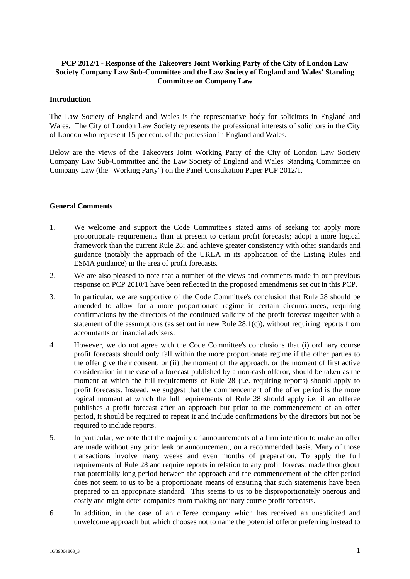## **PCP 2012/1 - Response of the Takeovers Joint Working Party of the City of London Law Society Company Law Sub-Committee and the Law Society of England and Wales' Standing Committee on Company Law**

#### **Introduction**

The Law Society of England and Wales is the representative body for solicitors in England and Wales. The City of London Law Society represents the professional interests of solicitors in the City of London who represent 15 per cent. of the profession in England and Wales.

Below are the views of the Takeovers Joint Working Party of the City of London Law Society Company Law Sub-Committee and the Law Society of England and Wales' Standing Committee on Company Law (the "Working Party") on the Panel Consultation Paper PCP 2012/1.

#### **General Comments**

- 1. We welcome and support the Code Committee's stated aims of seeking to: apply more proportionate requirements than at present to certain profit forecasts; adopt a more logical framework than the current Rule 28; and achieve greater consistency with other standards and guidance (notably the approach of the UKLA in its application of the Listing Rules and ESMA guidance) in the area of profit forecasts.
- 2. We are also pleased to note that a number of the views and comments made in our previous response on PCP 2010/1 have been reflected in the proposed amendments set out in this PCP.
- 3. In particular, we are supportive of the Code Committee's conclusion that Rule 28 should be amended to allow for a more proportionate regime in certain circumstances, requiring confirmations by the directors of the continued validity of the profit forecast together with a statement of the assumptions (as set out in new Rule  $28.1(c)$ ), without requiring reports from accountants or financial advisers.
- 4. However, we do not agree with the Code Committee's conclusions that (i) ordinary course profit forecasts should only fall within the more proportionate regime if the other parties to the offer give their consent; or (ii) the moment of the approach, or the moment of first active consideration in the case of a forecast published by a non-cash offeror, should be taken as the moment at which the full requirements of Rule 28 (i.e. requiring reports) should apply to profit forecasts. Instead, we suggest that the commencement of the offer period is the more logical moment at which the full requirements of Rule 28 should apply i.e. if an offeree publishes a profit forecast after an approach but prior to the commencement of an offer period, it should be required to repeat it and include confirmations by the directors but not be required to include reports.
- 5. In particular, we note that the majority of announcements of a firm intention to make an offer are made without any prior leak or announcement, on a recommended basis. Many of those transactions involve many weeks and even months of preparation. To apply the full requirements of Rule 28 and require reports in relation to any profit forecast made throughout that potentially long period between the approach and the commencement of the offer period does not seem to us to be a proportionate means of ensuring that such statements have been prepared to an appropriate standard. This seems to us to be disproportionately onerous and costly and might deter companies from making ordinary course profit forecasts.
- 6. In addition, in the case of an offeree company which has received an unsolicited and unwelcome approach but which chooses not to name the potential offeror preferring instead to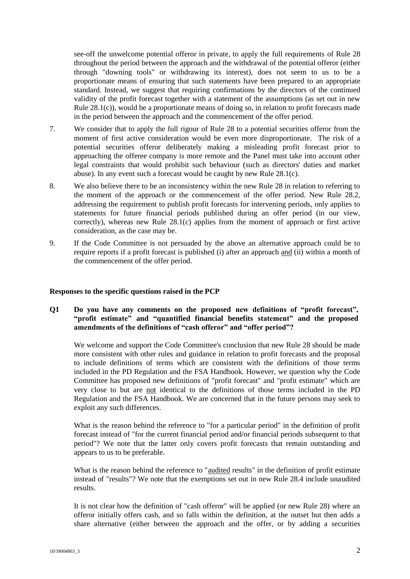see-off the unwelcome potential offeror in private, to apply the full requirements of Rule 28 throughout the period between the approach and the withdrawal of the potential offeror (either through "downing tools" or withdrawing its interest), does not seem to us to be a proportionate means of ensuring that such statements have been prepared to an appropriate standard. Instead, we suggest that requiring confirmations by the directors of the continued validity of the profit forecast together with a statement of the assumptions (as set out in new Rule  $28.1(c)$ ), would be a proportionate means of doing so, in relation to profit forecasts made in the period between the approach and the commencement of the offer period.

- 7. We consider that to apply the full rigour of Rule 28 to a potential securities offeror from the moment of first active consideration would be even more disproportionate. The risk of a potential securities offeror deliberately making a misleading profit forecast prior to approaching the offeree company is more remote and the Panel must take into account other legal constraints that would prohibit such behaviour (such as directors' duties and market abuse). In any event such a forecast would be caught by new Rule 28.1(c).
- 8. We also believe there to be an inconsistency within the new Rule 28 in relation to referring to the moment of the approach or the commencement of the offer period. New Rule 28.2, addressing the requirement to publish profit forecasts for intervening periods, only applies to statements for future financial periods published during an offer period (in our view, correctly), whereas new Rule 28.1(c) applies from the moment of approach or first active consideration, as the case may be.
- 9. If the Code Committee is not persuaded by the above an alternative approach could be to require reports if a profit forecast is published (i) after an approach and (ii) within a month of the commencement of the offer period.

#### **Responses to the specific questions raised in the PCP**

## **Q1 Do you have any comments on the proposed new definitions of "profit forecast", "profit estimate" and "quantified financial benefits statement" and the proposed amendments of the definitions of "cash offeror" and "offer period"?**

We welcome and support the Code Committee's conclusion that new Rule 28 should be made more consistent with other rules and guidance in relation to profit forecasts and the proposal to include definitions of terms which are consistent with the definitions of those terms included in the PD Regulation and the FSA Handbook. However, we question why the Code Committee has proposed new definitions of "profit forecast" and "profit estimate" which are very close to but are not identical to the definitions of those terms included in the PD Regulation and the FSA Handbook. We are concerned that in the future persons may seek to exploit any such differences.

What is the reason behind the reference to "for a particular period" in the definition of profit forecast instead of "for the current financial period and/or financial periods subsequent to that period"? We note that the latter only covers profit forecasts that remain outstanding and appears to us to be preferable.

What is the reason behind the reference to "audited results" in the definition of profit estimate instead of "results"? We note that the exemptions set out in new Rule 28.4 include unaudited results.

It is not clear how the definition of "cash offeror" will be applied (or new Rule 28) where an offeror initially offers cash, and so falls within the definition, at the outset but then adds a share alternative (either between the approach and the offer, or by adding a securities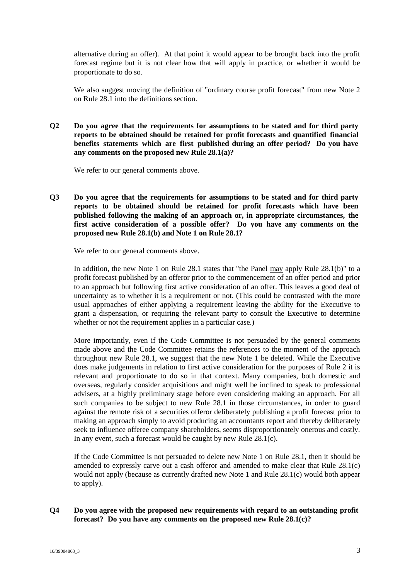alternative during an offer). At that point it would appear to be brought back into the profit forecast regime but it is not clear how that will apply in practice, or whether it would be proportionate to do so.

We also suggest moving the definition of "ordinary course profit forecast" from new Note 2 on Rule 28.1 into the definitions section.

**Q2 Do you agree that the requirements for assumptions to be stated and for third party reports to be obtained should be retained for profit forecasts and quantified financial benefits statements which are first published during an offer period? Do you have any comments on the proposed new Rule 28.1(a)?**

We refer to our general comments above.

**Q3 Do you agree that the requirements for assumptions to be stated and for third party reports to be obtained should be retained for profit forecasts which have been published following the making of an approach or, in appropriate circumstances, the first active consideration of a possible offer? Do you have any comments on the proposed new Rule 28.1(b) and Note 1 on Rule 28.1?**

We refer to our general comments above.

In addition, the new Note 1 on Rule 28.1 states that "the Panel may apply Rule 28.1(b)" to a profit forecast published by an offeror prior to the commencement of an offer period and prior to an approach but following first active consideration of an offer. This leaves a good deal of uncertainty as to whether it is a requirement or not. (This could be contrasted with the more usual approaches of either applying a requirement leaving the ability for the Executive to grant a dispensation, or requiring the relevant party to consult the Executive to determine whether or not the requirement applies in a particular case.)

More importantly, even if the Code Committee is not persuaded by the general comments made above and the Code Committee retains the references to the moment of the approach throughout new Rule 28.1, we suggest that the new Note 1 be deleted. While the Executive does make judgements in relation to first active consideration for the purposes of Rule 2 it is relevant and proportionate to do so in that context. Many companies, both domestic and overseas, regularly consider acquisitions and might well be inclined to speak to professional advisers, at a highly preliminary stage before even considering making an approach. For all such companies to be subject to new Rule 28.1 in those circumstances, in order to guard against the remote risk of a securities offeror deliberately publishing a profit forecast prior to making an approach simply to avoid producing an accountants report and thereby deliberately seek to influence offeree company shareholders, seems disproportionately onerous and costly. In any event, such a forecast would be caught by new Rule 28.1(c).

If the Code Committee is not persuaded to delete new Note 1 on Rule 28.1, then it should be amended to expressly carve out a cash offeror and amended to make clear that Rule 28.1(c) would not apply (because as currently drafted new Note 1 and Rule 28.1(c) would both appear to apply).

## **Q4 Do you agree with the proposed new requirements with regard to an outstanding profit forecast? Do you have any comments on the proposed new Rule 28.1(c)?**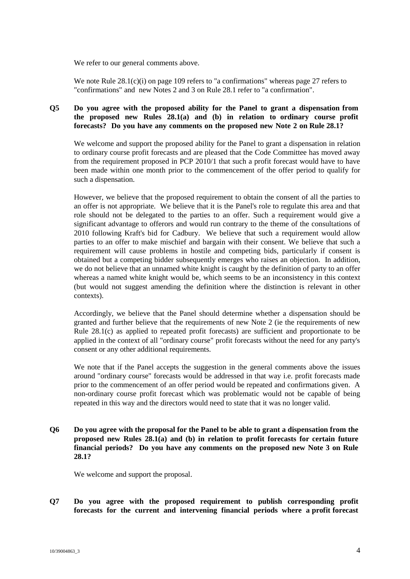We refer to our general comments above.

We note Rule  $28.1(c)(i)$  on page 109 refers to "a confirmations" whereas page 27 refers to "confirmations" and new Notes 2 and 3 on Rule 28.1 refer to "a confirmation".

# **Q5 Do you agree with the proposed ability for the Panel to grant a dispensation from the proposed new Rules 28.1(a) and (b) in relation to ordinary course profit forecasts? Do you have any comments on the proposed new Note 2 on Rule 28.1?**

We welcome and support the proposed ability for the Panel to grant a dispensation in relation to ordinary course profit forecasts and are pleased that the Code Committee has moved away from the requirement proposed in PCP 2010/1 that such a profit forecast would have to have been made within one month prior to the commencement of the offer period to qualify for such a dispensation.

However, we believe that the proposed requirement to obtain the consent of all the parties to an offer is not appropriate. We believe that it is the Panel's role to regulate this area and that role should not be delegated to the parties to an offer. Such a requirement would give a significant advantage to offerors and would run contrary to the theme of the consultations of 2010 following Kraft's bid for Cadbury. We believe that such a requirement would allow parties to an offer to make mischief and bargain with their consent. We believe that such a requirement will cause problems in hostile and competing bids, particularly if consent is obtained but a competing bidder subsequently emerges who raises an objection. In addition, we do not believe that an unnamed white knight is caught by the definition of party to an offer whereas a named white knight would be, which seems to be an inconsistency in this context (but would not suggest amending the definition where the distinction is relevant in other contexts).

Accordingly, we believe that the Panel should determine whether a dispensation should be granted and further believe that the requirements of new Note 2 (ie the requirements of new Rule 28.1(c) as applied to repeated profit forecasts) are sufficient and proportionate to be applied in the context of all "ordinary course" profit forecasts without the need for any party's consent or any other additional requirements.

We note that if the Panel accepts the suggestion in the general comments above the issues around "ordinary course" forecasts would be addressed in that way i.e. profit forecasts made prior to the commencement of an offer period would be repeated and confirmations given. A non-ordinary course profit forecast which was problematic would not be capable of being repeated in this way and the directors would need to state that it was no longer valid.

**Q6 Do you agree with the proposal for the Panel to be able to grant a dispensation from the proposed new Rules 28.1(a) and (b) in relation to profit forecasts for certain future financial periods? Do you have any comments on the proposed new Note 3 on Rule 28.1?**

We welcome and support the proposal.

**Q7 Do you agree with the proposed requirement to publish corresponding profit forecasts for the current and intervening financial periods where a profit forecast**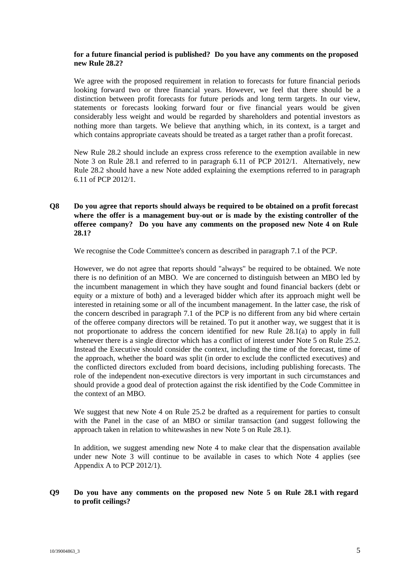#### **for a future financial period is published? Do you have any comments on the proposed new Rule 28.2?**

We agree with the proposed requirement in relation to forecasts for future financial periods looking forward two or three financial years. However, we feel that there should be a distinction between profit forecasts for future periods and long term targets. In our view, statements or forecasts looking forward four or five financial years would be given considerably less weight and would be regarded by shareholders and potential investors as nothing more than targets. We believe that anything which, in its context, is a target and which contains appropriate caveats should be treated as a target rather than a profit forecast.

New Rule 28.2 should include an express cross reference to the exemption available in new Note 3 on Rule 28.1 and referred to in paragraph 6.11 of PCP 2012/1. Alternatively, new Rule 28.2 should have a new Note added explaining the exemptions referred to in paragraph 6.11 of PCP 2012/1.

# **Q8 Do you agree that reports should always be required to be obtained on a profit forecast where the offer is a management buy-out or is made by the existing controller of the offeree company? Do you have any comments on the proposed new Note 4 on Rule 28.1?**

We recognise the Code Committee's concern as described in paragraph 7.1 of the PCP.

However, we do not agree that reports should "always" be required to be obtained. We note there is no definition of an MBO. We are concerned to distinguish between an MBO led by the incumbent management in which they have sought and found financial backers (debt or equity or a mixture of both) and a leveraged bidder which after its approach might well be interested in retaining some or all of the incumbent management. In the latter case, the risk of the concern described in paragraph 7.1 of the PCP is no different from any bid where certain of the offeree company directors will be retained. To put it another way, we suggest that it is not proportionate to address the concern identified for new Rule 28.1(a) to apply in full whenever there is a single director which has a conflict of interest under Note 5 on Rule 25.2. Instead the Executive should consider the context, including the time of the forecast, time of the approach, whether the board was split (in order to exclude the conflicted executives) and the conflicted directors excluded from board decisions, including publishing forecasts. The role of the independent non-executive directors is very important in such circumstances and should provide a good deal of protection against the risk identified by the Code Committee in the context of an MBO.

We suggest that new Note 4 on Rule 25.2 be drafted as a requirement for parties to consult with the Panel in the case of an MBO or similar transaction (and suggest following the approach taken in relation to whitewashes in new Note 5 on Rule 28.1).

In addition, we suggest amending new Note 4 to make clear that the dispensation available under new Note 3 will continue to be available in cases to which Note 4 applies (see Appendix A to PCP 2012/1).

## **Q9 Do you have any comments on the proposed new Note 5 on Rule 28.1 with regard to profit ceilings?**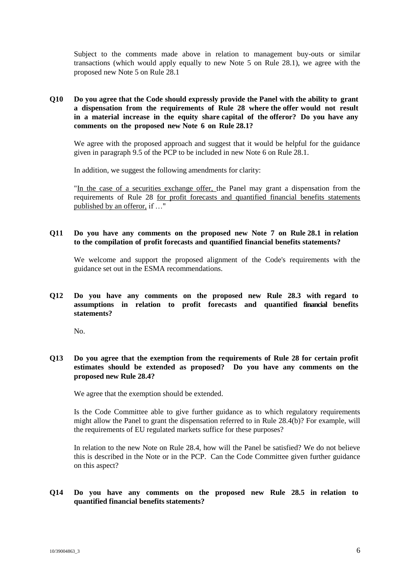Subject to the comments made above in relation to management buy-outs or similar transactions (which would apply equally to new Note 5 on Rule 28.1), we agree with the proposed new Note 5 on Rule 28.1

## **Q10 Do you agree that the Code should expressly provide the Panel with the ability to grant a dispensation from the requirements of Rule 28 where the offer would not result in a material increase in the equity share capital of the offeror? Do you have any comments on the proposed new Note 6 on Rule 28.1?**

We agree with the proposed approach and suggest that it would be helpful for the guidance given in paragraph 9.5 of the PCP to be included in new Note 6 on Rule 28.1.

In addition, we suggest the following amendments for clarity:

"In the case of a securities exchange offer, the Panel may grant a dispensation from the requirements of Rule 28 for profit forecasts and quantified financial benefits statements published by an offeror, if …"

#### **Q11 Do you have any comments on the proposed new Note 7 on Rule 28.1 in relation to the compilation of profit forecasts and quantified financial benefits statements?**

We welcome and support the proposed alignment of the Code's requirements with the guidance set out in the ESMA recommendations.

**Q12 Do you have any comments on the proposed new Rule 28.3 with regard to assumptions in relation to profit forecasts and quantified financial benefits statements?**

 $N<sub>0</sub>$ 

### **Q13 Do you agree that the exemption from the requirements of Rule 28 for certain profit estimates should be extended as proposed? Do you have any comments on the proposed new Rule 28.4?**

We agree that the exemption should be extended.

Is the Code Committee able to give further guidance as to which regulatory requirements might allow the Panel to grant the dispensation referred to in Rule 28.4(b)? For example, will the requirements of EU regulated markets suffice for these purposes?

In relation to the new Note on Rule 28.4, how will the Panel be satisfied? We do not believe this is described in the Note or in the PCP. Can the Code Committee given further guidance on this aspect?

### **Q14 Do you have any comments on the proposed new Rule 28.5 in relation to quantified financial benefits statements?**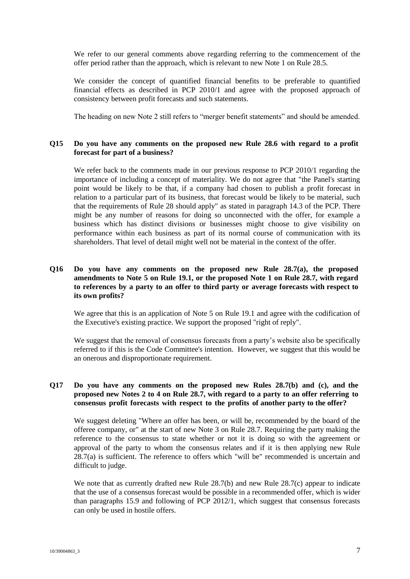We refer to our general comments above regarding referring to the commencement of the offer period rather than the approach, which is relevant to new Note 1 on Rule 28.5.

We consider the concept of quantified financial benefits to be preferable to quantified financial effects as described in PCP 2010/1 and agree with the proposed approach of consistency between profit forecasts and such statements.

The heading on new Note 2 still refers to "merger benefit statements" and should be amended.

### **Q15 Do you have any comments on the proposed new Rule 28.6 with regard to a profit forecast for part of a business?**

We refer back to the comments made in our previous response to PCP 2010/1 regarding the importance of including a concept of materiality. We do not agree that "the Panel's starting point would be likely to be that, if a company had chosen to publish a profit forecast in relation to a particular part of its business, that forecast would be likely to be material, such that the requirements of Rule 28 should apply" as stated in paragraph 14.3 of the PCP. There might be any number of reasons for doing so unconnected with the offer, for example a business which has distinct divisions or businesses might choose to give visibility on performance within each business as part of its normal course of communication with its shareholders. That level of detail might well not be material in the context of the offer.

## **Q16 Do you have any comments on the proposed new Rule 28.7(a), the proposed amendments to Note 5 on Rule 19.1, or the proposed Note 1 on Rule 28.7, with regard to references by a party to an offer to third party or average forecasts with respect to its own profits?**

We agree that this is an application of Note 5 on Rule 19.1 and agree with the codification of the Executive's existing practice. We support the proposed "right of reply".

We suggest that the removal of consensus forecasts from a party's website also be specifically referred to if this is the Code Committee's intention. However, we suggest that this would be an onerous and disproportionate requirement.

### **Q17 Do you have any comments on the proposed new Rules 28.7(b) and (c), and the proposed new Notes 2 to 4 on Rule 28.7, with regard to a party to an offer referring to consensus profit forecasts with respect to the profits of another party to the offer?**

We suggest deleting "Where an offer has been, or will be, recommended by the board of the offeree company, or" at the start of new Note 3 on Rule 28.7. Requiring the party making the reference to the consensus to state whether or not it is doing so with the agreement or approval of the party to whom the consensus relates and if it is then applying new Rule 28.7(a) is sufficient. The reference to offers which "will be" recommended is uncertain and difficult to judge.

We note that as currently drafted new Rule 28.7(b) and new Rule 28.7(c) appear to indicate that the use of a consensus forecast would be possible in a recommended offer, which is wider than paragraphs 15.9 and following of PCP 2012/1, which suggest that consensus forecasts can only be used in hostile offers.